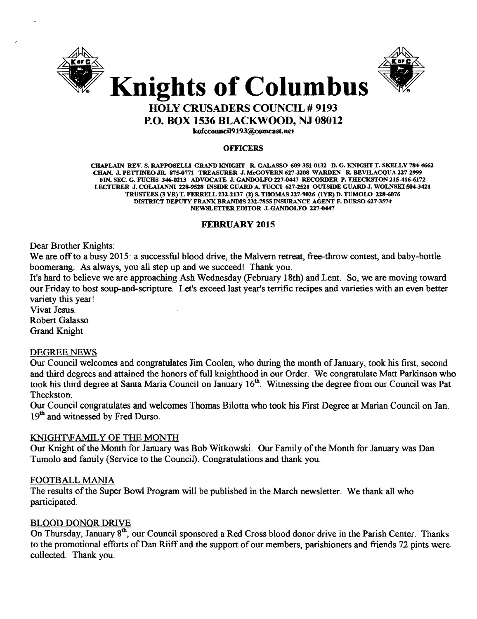



# HOLY CRUSADERS COUNCIL # 9193 P.O. BOX 1536 BLACKWOOD, NJ 08012

kofccouncll9193@comcast.net

#### **OFFICERS**

CHAPLAIN REV. S. RAPPOSELLI GRAND KNIGHT R. GALASSO 609-351-0132 D. G. KNIGHT T. SKELLY 784-4662 CHAN. J. PETTINEO JR. 875-0771 TREASURER J. McGOVERN 627-3208 WARDEN R. BEVILACQUA 227-2999 FIN. SEC. G. FUCHS 346-0113 ADVOCATE J. GANDOLFO 217-0447 RECORDER P. THECKSTON 115-416-6172 LECTURER J. COLAIANNI 128-9518 INSIDE GUARD A. TUCCI 617-2521 OUTSIDE GUARD J. WOLNSKI 504-3421 TRUSTEES (3 YR) T. FERRELL 232-2137 (2) S. THOMAS 227-9026 (1YR) D. TUMOLO 228-6076 DISTRICT DEPUTY FRANK BRANDIS 232-7855 INSURANCE AGENT F. DURSO 627-3574 NEWSLETTER EDITOR J. GANDOLFO 127-0447

# FEBRUARY 2015

Dear Brother Knights:

We are off to a busy 2015: a successful blood drive, the Malvern retreat, free-throw contest, and baby-bottle boomerang. As always, you all step up and we succeed! Thank you.

It's hard to believe we are approaching Ash Wednesday (February 18th) and Lent. So, we are moving toward our Friday to host soup-and-scripture. Let's exceed last year's terrific recipes and varieties with an even better variety this year!

Vivat Jesus. Robert Galasso

Grand Knight

# DEGREE NEWS

Our Council welcomes and congratulates Jim Coolen, who during the month of January, took his first, second and third degrees and attained the honors of full knighthood in our Order. We congratulate Matt Parkinson who took his third degree at Santa Maria Council on January 16<sup>th</sup>. Witnessing the degree from our Council was Pat Theckston.

Our Council congratulates and welcomes Thomas Bilotta who took his First Degree at Marian Council on Jan. 19<sup>th</sup> and witnessed by Fred Durso.

# KNIGHT\F AMIL Y OF THE MONTH

Our Knight of the Month for January was Bob Witkowski. Our Family of the Month for January was Dan Tumolo and family (Service to the Council). Congratulations and thank you.

# FOOTBALL MANIA

The results of the Super Bowl Program will be published in the March newsletter. We thank all who participated.

# BLOOD DONOR DRIVE

On Thursday, January 8<sup>th</sup>, our Council sponsored a Red Cross blood donor drive in the Parish Center. Thanks to the promotional efforts of Dan Riiff and the support of our members, parishioners and friends 72 pints were collected. Thank you.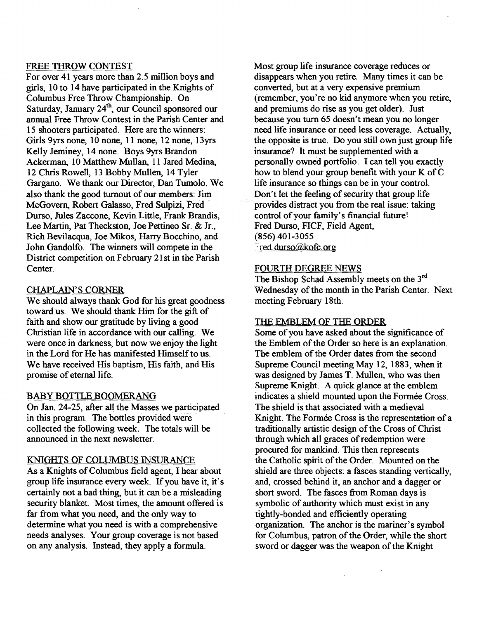# FREE THROW CONTEST

For over 41 years more than 2.5 million boys and girls, 10 to 14 have participated in the Knights of Columbus Free Throw Championship. On Saturday, January 24<sup>th</sup>, our Council sponsored our annual Free Throw Contest in the Parish Center and 15 shooters participated. Here are the winners: Girls 9yrs none, 10 none, 11 none, 12 none, 13yrs Kelly Jeminey, 14 none. Boys 9yrs Brandon Ackerman, 10 Matthew Mullan, 11 Jared Medina, 12 Chris Rowell, 13 Bobby Mullen, 14 Tyler Gargano. We thank our Director, Dan Tumolo. We also thank the good turnout of our members: Jim McGovern, Robert Galasso, Fred Sulpizi, Fred Durso, Jules Zaccone, Kevin Little, Frank Brandis, Lee Martin, Pat Theckston, Joe Pettineo Sr. & Jr., Rich Bevilacqua, Joe Mikos, Hany Bocchino, and John Gandolfo. The winners will compete in the District competition on February 21st in the Parish Center.

# CHAPLAIN'S CORNER

We should always thank God for his great goodness toward us. We should thank Him for the gift of faith and show our gratitude by living a good Christian life in accordance with our calling. We were once in darkness, but now we enjoy the light in the Lord for He has manifested Himself to us. We have received His baptism, His faith, and His promise of eternal life.

# BABY BOTTLE BOOMERANG

On Jan. 24-25, after all the Masses we participated in this program. The bottles provided were collected the following week. The totals will be announced in the next newsletter.

# KNIGHTS OF COLUMBUS INSURANCE

As a Knights of Columbus field agent, I hear about group life insurance every week. If you have it, it's certainly not a bad thing, but it can be a misleading security blanket. Most times, the amount offered is far from what you need, and the only way to determine what you need is with a comprehensive needs analyses. Your group coverage is not based on any analysis. Instead, they apply a formula.

Most group life insurance coverage reduces or disappears when you retire. Many times it can be converted, but at a very expensive premium (remember, you're no kid anymore when you retire, and premiums do rise as you get older). Just because you turn 65 doesn't mean you no longer need life insurance or need less coverage. Actually, the opposite is true. Do you still own just group life insurance? It must be supplemented with a personally owned portfolio. I can tell you exactly how to blend your group benefit with your K of C life insurance so things can be in your control. Don't let the feeling of security that group life provides distract you from the real issue: taking control ofyour family's financial future! Fred Durso, FICF, Field Agent, (856) 401-3055 Fred.durso@kofc.org

#### FOURTH DEGREE NEWS

The Bishop Schad Assembly meets on the 3<sup>rd</sup> Wednesday of the month in the Parish Center. Next meeting February 18th.

#### THE EMBLEM OF THE ORDER

Some of you have asked about the significance of the Emblem of the Order so here is an explanation. The emblem of the Order dates from the second Supreme Council meeting May 12, 1883, when it was designed by James T. Mullen, who was then Supreme Knight. A quick glance at the emblem indicates a shield mounted upon the Formée Cross. The shield is that associated with a medieval Knight. The Formée Cross is the representation of a traditionally artistic design of the Cross of Christ through which all graces of redemption were procured for mankind. This then represents the Catholic spirit of the Order. Mounted on the shield are three objects: a fasces standing vertically, and, crossed behind it, an anchor and a dagger or short sword. The fasces from Roman days is symbolic of authority which must exist in any tightly-bonded and efficiently operating organization. The anchor is the mariner's symbol for Columbus, patron of the Order, while the short sword or dagger was the weapon of the Knight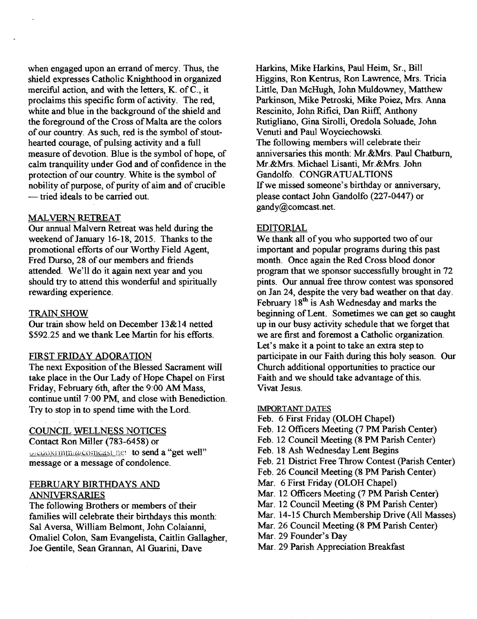when engaged upon an errand of mercy. Thus, the shield expresses Catholic Knighthood in organized merciful action, and with the letters, K. ofC., it proclaims this specific form of activity. The red, white and blue in the background of the shield and the foreground of the Cross of Malta are the colors of our country. As such, red is the symbol of stouthearted courage, of pulsing activity and a full measure of devotion. Blue is the symbol of hope, of calm tranquility under God and of confidence in the protection of our country. White is the symbol of nobility of purpose, of purity of aim and of crucible - tried ideals to be carried out.

# MALVERN RETREAT

Our annual Malvern Retreat was held during the weekend of January 16-18, 2015. Thanks to the promotional efforts of our Worthy Field Agent, Fred Durso, 28 of our members and friends attended. We'll do it again next year and you should try to attend this wonderful and spiritually rewarding experience.

#### TRAIN SHOW

Our train show held on December 13& 14 netted \$592.25 and we thank Lee Martin for his efforts.

#### FIRST FRIDAY ADORATION

The next Exposition of the Blessed Sacrament will take place in the Our Lady of Hope Chapel on First Friday, February 6th, after the 9:00 AM Mass, continue until 7:00 PM, and close with Benediction. Try to stop in to spend time with the Lord.

#### COUNCIL WELLNESS NOTICES

Contact Ron Miller (783-6458) or orenoxrmmancomcast net to send a "get well" message or a message of condolence.

# FEBRUARY BIRTHDAYS AND ANNIVERSARIES

The following Brothers or members of their families will celebrate their birthdays this month: Sal Aversa, William Belmont, John Colaianni, Omaliel Colon, Sam Evangelista, Caitlin Gallagher, Joe Gentile, Sean Grannan, Al Guarini, Dave

Harkins, Mike Harkins, Paul Heim, Sr., Bill Higgins, Ron Kentrus, Ron Lawrence, Mrs. Tricia Little, Dan McHugh, John Muldowney, Matthew Parkinson, Mike Petroski, Mike Poiez, Mrs. Anna Rescinito, John Rifici, Dan Riiff, Anthony Rutigliano, Gina Sirolli, Oredola Soluade, John Venuti and Paul Woyciechowski. The following members will celebrate their anniversaries this month: Mr.&Mrs. Paul Chatburn, Mr.&Mrs. Michael Lisanti, Mr.&Mrs. John Gandolfo. CONGRATUALTIONS If we missed someone's birthday or anniversary, please contact John Gandolfo (227-0447) or gandy@comcast.net.

# EDITORIAL

We thank all of you who supported two of our important and popular programs during this past month. Once again the Red Cross blood donor program that we sponsor successfully brought in 72 pints. Our annual free throw contest was sponsored on Jan 24, despite the very bad weather on that day. February 18<sup>th</sup> is Ash Wednesday and marks the beginning of Lent. Sometimes we can get so caught up in our busy activity schedule that we forget that we are first and foremost a Catholic organization. Let's make it a point to take an extra step to participate in our Faith during this holy season. Our Church additional opportunities to practice our Faith and we should take advantage of this. Vivat Jesus.

#### IMPORTANT DATES

- Feb. 6 First Friday (OLOH Chapel)
- Feb. 12 Officers Meeting (7 PM Parish Center)
- Feb. 12 Council Meeting (8 PM Parish Center)
- Feb. 18 Ash Wednesday Lent Begins
- Feb. 21 District Free Throw Contest (parish Center)
- Feb. 26 Council Meeting (8 PM Parish Center)
- Mar. 6 First Friday (OLOH Chapel)
- Mar. 12 Officers Meeting (7 PM Parish Center)
- Mar. 12 Council Meeting (8 PM Parish Center)
- Mar. 14-15 Church Membership Drive (All Masses)
- Mar. 26 Council Meeting (8 PM Parish Center)
- Mar. 29 Founder's Day
- Mar. 29 Parish Appreciation Breakfast